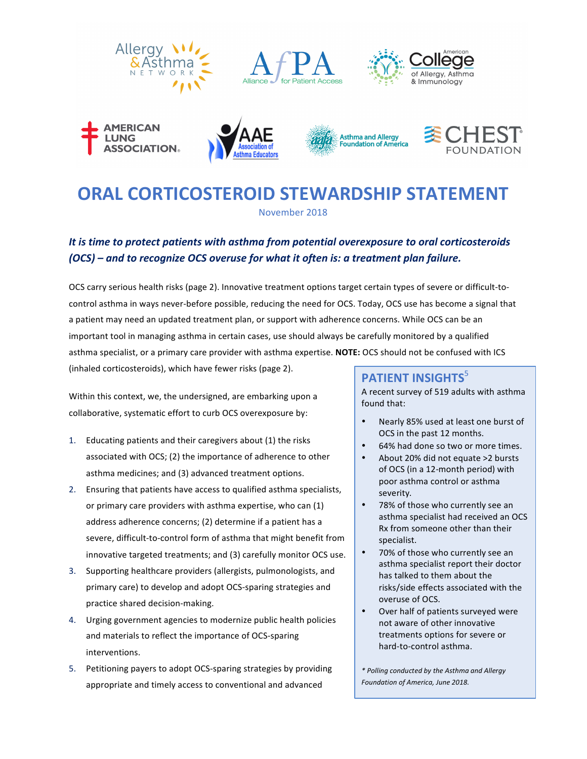













# **ORAL CORTICOSTEROID STEWARDSHIP STATEMENT**

November 2018

# It is time to protect patients with asthma from potential overexposure to oral corticosteroids *(OCS)* – and to recognize OCS overuse for what it often is: a treatment plan failure.

OCS carry serious health risks (page 2). Innovative treatment options target certain types of severe or difficult-tocontrol asthma in ways never-before possible, reducing the need for OCS. Today, OCS use has become a signal that a patient may need an updated treatment plan, or support with adherence concerns. While OCS can be an important tool in managing asthma in certain cases, use should always be carefully monitored by a qualified asthma specialist, or a primary care provider with asthma expertise. NOTE: OCS should not be confused with ICS (inhaled corticosteroids), which have fewer risks (page 2).

Within this context, we, the undersigned, are embarking upon a collaborative, systematic effort to curb OCS overexposure by:

- 1. Educating patients and their caregivers about (1) the risks associated with OCS; (2) the importance of adherence to other asthma medicines; and (3) advanced treatment options.
- 2. Ensuring that patients have access to qualified asthma specialists, or primary care providers with asthma expertise, who can (1) address adherence concerns; (2) determine if a patient has a severe, difficult-to-control form of asthma that might benefit from innovative targeted treatments; and (3) carefully monitor OCS use.
- 3. Supporting healthcare providers (allergists, pulmonologists, and primary care) to develop and adopt OCS-sparing strategies and practice shared decision-making.
- 4. Urging government agencies to modernize public health policies and materials to reflect the importance of OCS-sparing interventions.
- 5. Petitioning payers to adopt OCS-sparing strategies by providing appropriate and timely access to conventional and advanced

# **PATIENT INSIGHTS**<sup>5</sup>

A recent survey of 519 adults with asthma found that:

- Nearly 85% used at least one burst of OCS in the past 12 months.
- 64% had done so two or more times.
- About 20% did not equate >2 bursts of OCS (in a 12-month period) with poor asthma control or asthma severity.
- 78% of those who currently see an asthma specialist had received an OCS Rx from someone other than their specialist.
- 70% of those who currently see an asthma specialist report their doctor has talked to them about the risks/side effects associated with the overuse of OCS.
- Over half of patients surveyed were not aware of other innovative treatments options for severe or hard-to-control asthma.

*\* Polling conducted by the Asthma and Allergy Foundation of America, June 2018.*